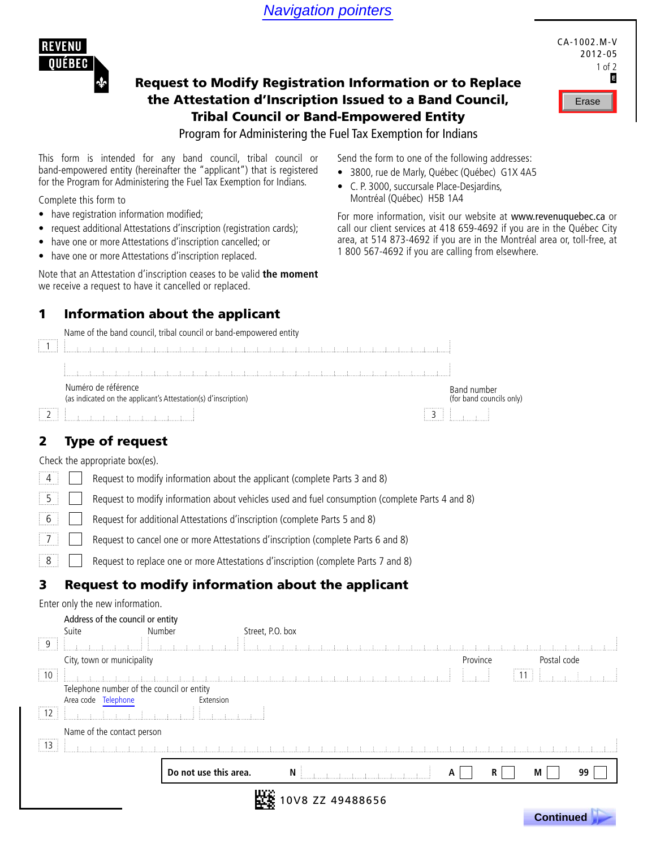Navigation pointers



# Request to Modify Registration Information or to Replace the Attestation d'Inscription Issued to a Band Council, Tribal Council or Band-Empowered Entity



**Formulaire presenting de la présidence de la présidence de la présidence de la présidence de la prête de la pr** 

### Program for Administering the Fuel Tax Exemption for Indians

This form is intended for any band council, tribal council or band-empowered entity (hereinafter the "applicant") that is registered for the Program for Administering the Fuel Tax Exemption for Indians.

Complete this form to

- have registration information modified;
- request additional Attestations d'inscription (registration cards);
- have one or more Attestations d'inscription cancelled; or
- have one or more Attestations d'inscription replaced.

Note that an Attestation d'inscription ceases to be valid **the moment** we receive a request to have it cancelled or replaced.

### 1 Information about the applicant

Name of the band council, tribal council or band-empowered entity



## 2 Type of request

Check the appropriate box(es).

| $\parallel$ 4 $\parallel$   Request to modify information about the applicant (complete Parts 3 and 8) |
|--------------------------------------------------------------------------------------------------------|
| [5] Request to modify information about vehicles used and fuel consumption (complete Parts 4 and 8)    |
| 6     Request for additional Attestations d'inscription (complete Parts 5 and 8)                       |
| 7   Request to cancel one or more Attestations d'inscription (complete Parts 6 and 8)                  |
| Request to replace one or more Attestations d'inscription (complete Parts 7 and 8)                     |

## 3 Request to modify information about the applicant

Enter only the new information.

|                       | Address of the council or entity          |                       |                  |                 |   |          |        |             |    |
|-----------------------|-------------------------------------------|-----------------------|------------------|-----------------|---|----------|--------|-------------|----|
|                       | Suite                                     | Number                | Street, P.O. box |                 |   |          |        |             |    |
| <br>9                 |                                           |                       |                  |                 |   |          |        |             |    |
|                       | City, town or municipality                |                       |                  |                 |   | Province |        | Postal code |    |
| .<br>$\frac{1}{2}$ 10 |                                           |                       |                  |                 |   |          | <br>11 |             |    |
|                       | Telephone number of the council or entity |                       |                  |                 |   |          |        |             |    |
|                       | Area code Telephone                       | Extension             |                  |                 |   |          |        |             |    |
| $\frac{1}{2}$ 12      |                                           |                       |                  |                 |   |          |        |             |    |
|                       | Name of the contact person                |                       |                  |                 |   |          |        |             |    |
| $\frac{1}{2}$ 13      |                                           |                       |                  |                 |   |          |        |             |    |
|                       |                                           | Do not use this area. | N                |                 | А |          | R      | М           | 99 |
|                       |                                           |                       |                  | 0V8 ZZ 49488656 |   |          |        |             |    |

Send the form to one of the following addresses:

- 3800, rue de Marly, Québec (Québec) G1X 4A5
- • C. P. 3000, succursale Place-Desjardins, Montréal (Québec) H5B 1A4

For more information, visit our website at www.revenuquebec.ca or call our client services at 418 659-4692 if you are in the Québec City area, at 514 873-4692 if you are in the Montréal area or, toll-free, at 1 800 567-4692 if you are calling from elsewhere.